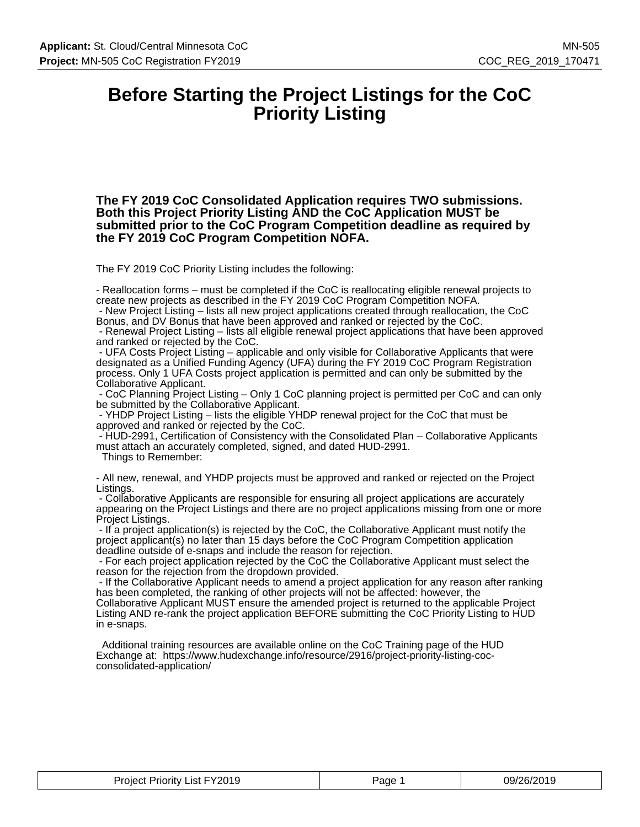### **Before Starting the Project Listings for the CoC Priority Listing**

**The FY 2019 CoC Consolidated Application requires TWO submissions. Both this Project Priority Listing AND the CoC Application MUST be submitted prior to the CoC Program Competition deadline as required by the FY 2019 CoC Program Competition NOFA.**

The FY 2019 CoC Priority Listing includes the following:

- Reallocation forms – must be completed if the CoC is reallocating eligible renewal projects to create new projects as described in the FY 2019 CoC Program Competition NOFA. - New Project Listing – lists all new project applications created through reallocation, the CoC

Bonus, and DV Bonus that have been approved and ranked or rejected by the CoC.

 - Renewal Project Listing – lists all eligible renewal project applications that have been approved and ranked or rejected by the CoC.

 - UFA Costs Project Listing – applicable and only visible for Collaborative Applicants that were designated as a Unified Funding Agency (UFA) during the FY 2019 CoC Program Registration process. Only 1 UFA Costs project application is permitted and can only be submitted by the Collaborative Applicant.

 - CoC Planning Project Listing – Only 1 CoC planning project is permitted per CoC and can only be submitted by the Collaborative Applicant.

 - YHDP Project Listing – lists the eligible YHDP renewal project for the CoC that must be approved and ranked or rejected by the CoC.

 - HUD-2991, Certification of Consistency with the Consolidated Plan – Collaborative Applicants must attach an accurately completed, signed, and dated HUD-2991.

Things to Remember:

- All new, renewal, and YHDP projects must be approved and ranked or rejected on the Project Listings.

 - Collaborative Applicants are responsible for ensuring all project applications are accurately appearing on the Project Listings and there are no project applications missing from one or more Project Listings.

 - If a project application(s) is rejected by the CoC, the Collaborative Applicant must notify the project applicant(s) no later than 15 days before the CoC Program Competition application deadline outside of e-snaps and include the reason for rejection.

 - For each project application rejected by the CoC the Collaborative Applicant must select the reason for the rejection from the dropdown provided.

 - If the Collaborative Applicant needs to amend a project application for any reason after ranking has been completed, the ranking of other projects will not be affected: however, the Collaborative Applicant MUST ensure the amended project is returned to the applicable Project Listing AND re-rank the project application BEFORE submitting the CoC Priority Listing to HUD in e-snaps.

 Additional training resources are available online on the CoC Training page of the HUD Exchange at: https://www.hudexchange.info/resource/2916/project-priority-listing-cocconsolidated-application/

| Priority List FY2019<br>Project '<br>______ | Page | 09/26/2019<br>$\sim$ |
|---------------------------------------------|------|----------------------|
|---------------------------------------------|------|----------------------|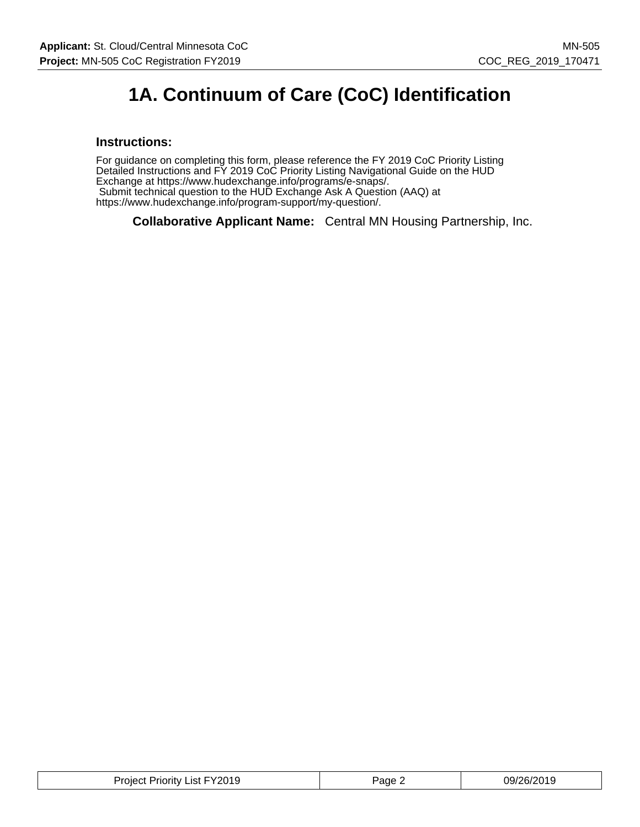### **1A. Continuum of Care (CoC) Identification**

#### **Instructions:**

For guidance on completing this form, please reference the FY 2019 CoC Priority Listing Detailed Instructions and FY 2019 CoC Priority Listing Navigational Guide on the HUD Exchange at https://www.hudexchange.info/programs/e-snaps/. Submit technical question to the HUD Exchange Ask A Question (AAQ) at https://www.hudexchange.info/program-support/my-question/.

**Collaborative Applicant Name:** Central MN Housing Partnership, Inc.

| Project Priority List FY2019 | $P$ age $\epsilon$ | 09/26/2019 |
|------------------------------|--------------------|------------|
|------------------------------|--------------------|------------|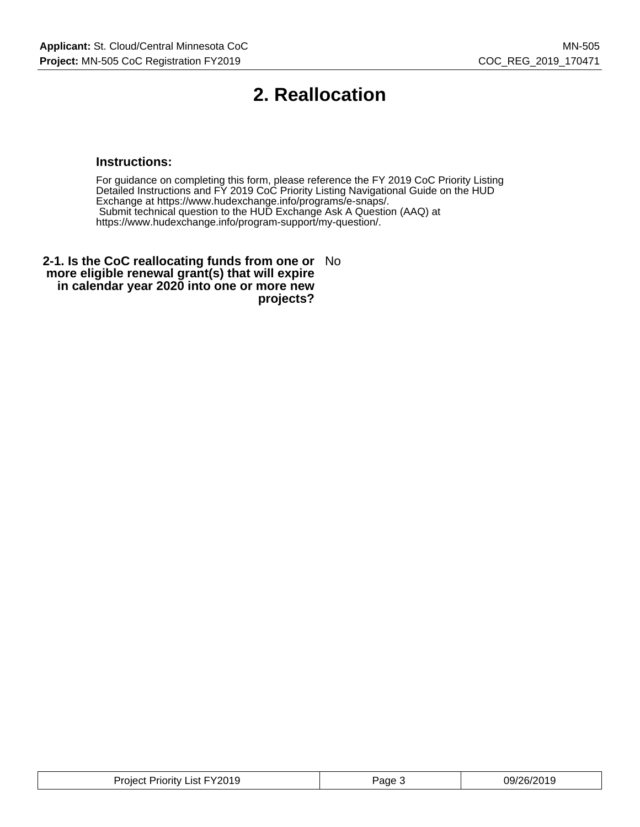## **2. Reallocation**

#### **Instructions:**

For guidance on completing this form, please reference the FY 2019 CoC Priority Listing Detailed Instructions and FY 2019 CoC Priority Listing Navigational Guide on the HUD Exchange at https://www.hudexchange.info/programs/e-snaps/. Submit technical question to the HUD Exchange Ask A Question (AAQ) at https://www.hudexchange.info/program-support/my-question/.

**2-1. Is the CoC reallocating funds from one or** No **more eligible renewal grant(s) that will expire in calendar year 2020 into one or more new projects?**

| Project Priority List FY2019 | Page J | 09/26/2019 |
|------------------------------|--------|------------|
|------------------------------|--------|------------|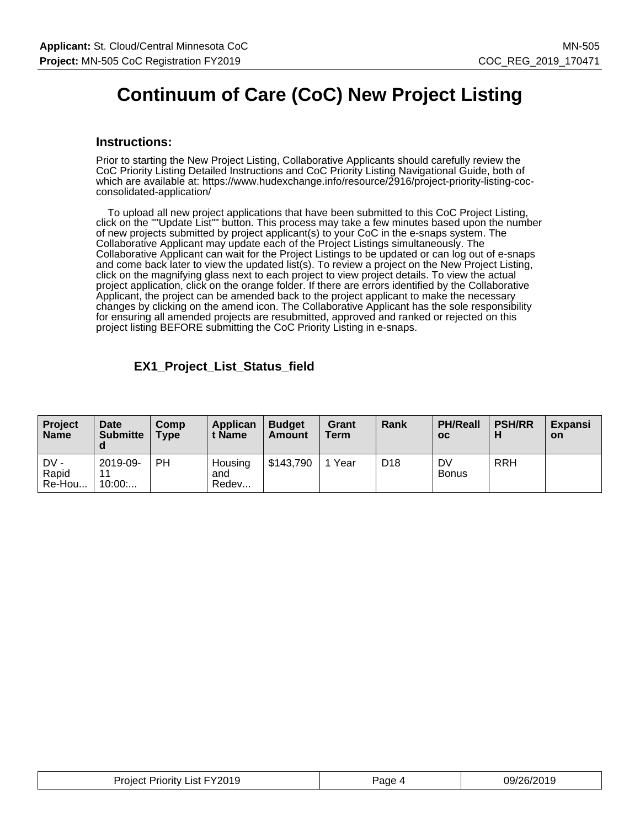### **Continuum of Care (CoC) New Project Listing**

#### **Instructions:**

Prior to starting the New Project Listing, Collaborative Applicants should carefully review the CoC Priority Listing Detailed Instructions and CoC Priority Listing Navigational Guide, both of which are available at: https://www.hudexchange.info/resource/2916/project-priority-listing-cocconsolidated-application/

 To upload all new project applications that have been submitted to this CoC Project Listing, click on the ""Update List"" button. This process may take a few minutes based upon the number of new projects submitted by project applicant(s) to your CoC in the e-snaps system. The Collaborative Applicant may update each of the Project Listings simultaneously. The Collaborative Applicant can wait for the Project Listings to be updated or can log out of e-snaps and come back later to view the updated list(s). To review a project on the New Project Listing, click on the magnifying glass next to each project to view project details. To view the actual project application, click on the orange folder. If there are errors identified by the Collaborative Applicant, the project can be amended back to the project applicant to make the necessary changes by clicking on the amend icon. The Collaborative Applicant has the sole responsibility for ensuring all amended projects are resubmitted, approved and ranked or rejected on this project listing BEFORE submitting the CoC Priority Listing in e-snaps.

#### **EX1\_Project\_List\_Status\_field**

| <b>Project</b><br><b>Name</b> | Date<br><b>Submitte</b><br>a | Comp<br><b>Type</b> | Applican<br>: Name      | <b>Budget</b><br>Amount | Grant<br><b>Term</b> | Rank            | <b>PH/Reall</b><br>OC | <b>PSH/RR</b> | <b>Expansi</b><br><b>on</b> |
|-------------------------------|------------------------------|---------------------|-------------------------|-------------------------|----------------------|-----------------|-----------------------|---------------|-----------------------------|
| DV -<br>Rapid<br>Re-Hou       | 2019-09-<br>11<br>10:00      | PH                  | Housing<br>and<br>Redev | \$143,790               | Year                 | D <sub>18</sub> | DV<br><b>Bonus</b>    | <b>RRH</b>    |                             |

| <b>Project Priority List FY2019</b> | Page 4 | 09/26/2019 |
|-------------------------------------|--------|------------|
|-------------------------------------|--------|------------|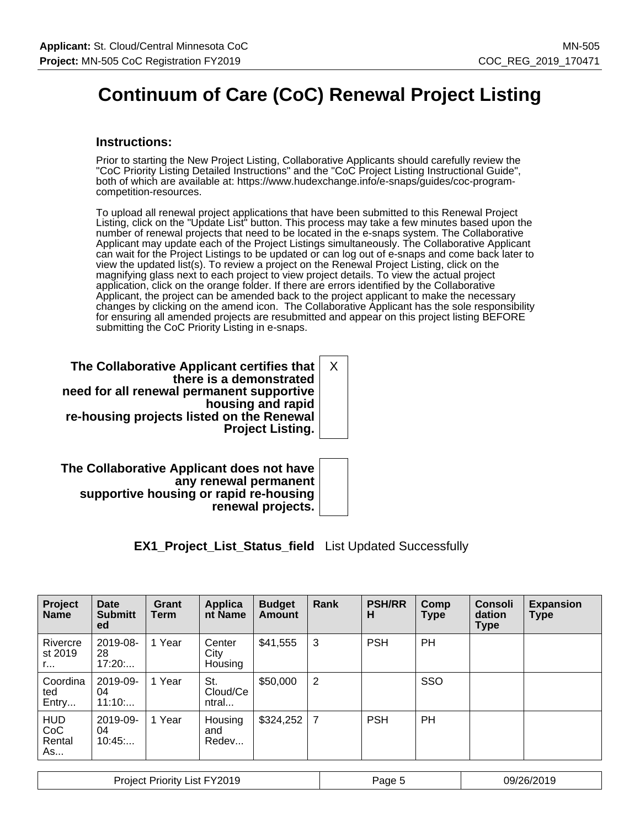# **Continuum of Care (CoC) Renewal Project Listing**

#### **Instructions:**

Prior to starting the New Project Listing, Collaborative Applicants should carefully review the "CoC Priority Listing Detailed Instructions" and the "CoC Project Listing Instructional Guide", both of which are available at: https://www.hudexchange.info/e-snaps/guides/coc-programcompetition-resources.

To upload all renewal project applications that have been submitted to this Renewal Project Listing, click on the "Update List" button. This process may take a few minutes based upon the number of renewal projects that need to be located in the e-snaps system. The Collaborative Applicant may update each of the Project Listings simultaneously. The Collaborative Applicant can wait for the Project Listings to be updated or can log out of e-snaps and come back later to view the updated list(s). To review a project on the Renewal Project Listing, click on the magnifying glass next to each project to view project details. To view the actual project application, click on the orange folder. If there are errors identified by the Collaborative Applicant, the project can be amended back to the project applicant to make the necessary changes by clicking on the amend icon. The Collaborative Applicant has the sole responsibility for ensuring all amended projects are resubmitted and appear on this project listing BEFORE submitting the CoC Priority Listing in e-snaps.

**The Collaborative Applicant certifies that there is a demonstrated need for all renewal permanent supportive housing and rapid re-housing projects listed on the Renewal Project Listing.** X

**The Collaborative Applicant does not have any renewal permanent supportive housing or rapid re-housing renewal projects.**

**EX1\_Project\_List\_Status\_field** List Updated Successfully

| Project<br><b>Name</b>            | <b>Date</b><br><b>Submitt</b><br>ed | Grant<br>Term | Applica<br>nt Name        | <b>Budget</b><br>Amount | Rank | <b>PSH/RR</b><br>н | Comp<br>Type | <b>Consoli</b><br>dation<br><b>Type</b> | <b>Expansion</b><br><b>Type</b> |
|-----------------------------------|-------------------------------------|---------------|---------------------------|-------------------------|------|--------------------|--------------|-----------------------------------------|---------------------------------|
| Rivercre<br>st 2019<br>r.         | 2019-08-<br>28<br>17:20             | 1 Year        | Center<br>City<br>Housing | \$41,555                | 3    | <b>PSH</b>         | <b>PH</b>    |                                         |                                 |
| Coordina<br>ted<br>Entry          | 2019-09-<br>04<br>11:10             | 1 Year        | St.<br>Cloud/Ce<br>ntral  | \$50,000                | 2    |                    | SSO          |                                         |                                 |
| <b>HUD</b><br>CoC<br>Rental<br>As | 2019-09-<br>04<br>10:45             | 1 Year        | Housing<br>and<br>Redev   | $$324,252$ 7            |      | <b>PSH</b>         | PH           |                                         |                                 |

| List FY2019<br><b>Project Priority</b> | Page | 09/26/2019<br>U I J |
|----------------------------------------|------|---------------------|
|----------------------------------------|------|---------------------|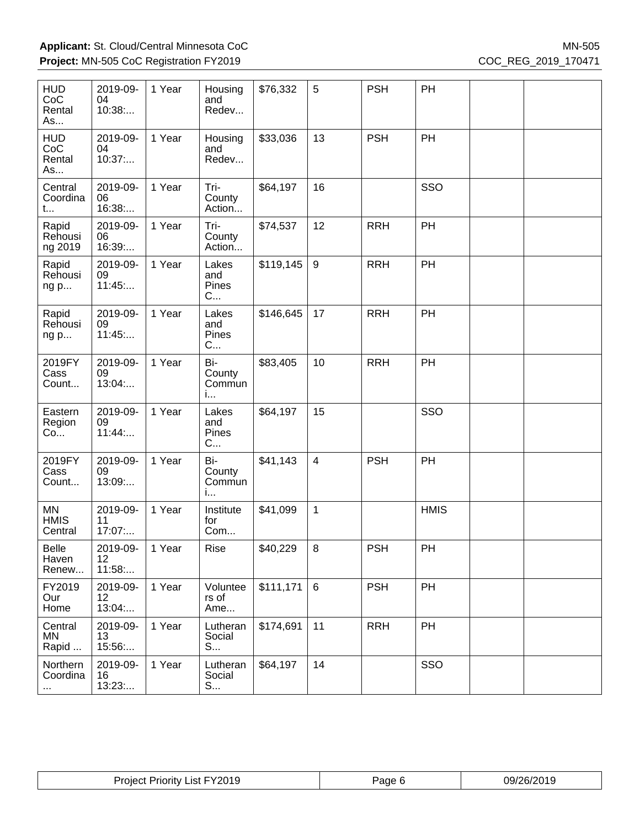| <b>HUD</b><br>CoC<br>Rental<br>As | 2019-09-<br>04<br>10:38  | 1 Year | Housing<br>and<br>Redev      | \$76,332  | 5              | <b>PSH</b> | PH          |  |
|-----------------------------------|--------------------------|--------|------------------------------|-----------|----------------|------------|-------------|--|
| <b>HUD</b><br>CoC<br>Rental<br>As | 2019-09-<br>04<br>10:37  | 1 Year | Housing<br>and<br>Redev      | \$33,036  | 13             | <b>PSH</b> | PH          |  |
| Central<br>Coordina<br>t          | 2019-09-<br>06<br>16:38  | 1 Year | Tri-<br>County<br>Action     | \$64,197  | 16             |            | SSO         |  |
| Rapid<br>Rehousi<br>ng 2019       | 2019-09-<br>06<br>16:39: | 1 Year | Tri-<br>County<br>Action     | \$74,537  | 12             | <b>RRH</b> | PH          |  |
| Rapid<br>Rehousi<br>ng p          | 2019-09-<br>09<br>11:45  | 1 Year | Lakes<br>and<br>Pines<br>C   | \$119,145 | 9              | <b>RRH</b> | PH          |  |
| Rapid<br>Rehousi<br>ng p          | 2019-09-<br>09<br>11:45  | 1 Year | Lakes<br>and<br>Pines<br>C   | \$146,645 | 17             | <b>RRH</b> | PH          |  |
| 2019FY<br>Cass<br>Count           | 2019-09-<br>09<br>13:04  | 1 Year | Bi-<br>County<br>Commun<br>i | \$83,405  | 10             | <b>RRH</b> | PH          |  |
| Eastern<br>Region<br>Co           | 2019-09-<br>09<br>11:44  | 1 Year | Lakes<br>and<br>Pines<br>C   | \$64,197  | 15             |            | SSO         |  |
| 2019FY<br>Cass<br>Count           | 2019-09-<br>09<br>13:09  | 1 Year | Bi-<br>County<br>Commun<br>i | \$41,143  | $\overline{4}$ | <b>PSH</b> | PH          |  |
| MN<br><b>HMIS</b><br>Central      | 2019-09-<br>11<br>17:07  | 1 Year | Institute<br>for<br>Com      | \$41,099  | $\mathbf{1}$   |            | <b>HMIS</b> |  |
| Belle<br>Haven<br>Renew           | 2019-09-<br>12<br>11:58  | 1 Year | Rise                         | \$40,229  | $\,8\,$        | <b>PSH</b> | PH          |  |
| FY2019<br>Our<br>Home             | 2019-09-<br>12<br>13:04: | 1 Year | Voluntee<br>rs of<br>Ame     | \$111,171 | 6              | <b>PSH</b> | PH          |  |
| Central<br>MN<br>Rapid            | 2019-09-<br>13<br>15:56  | 1 Year | Lutheran<br>Social<br>S      | \$174,691 | 11             | <b>RRH</b> | PH          |  |
| Northern<br>Coordina<br>$\cdots$  | 2019-09-<br>16<br>13:23  | 1 Year | Lutheran<br>Social<br>S      | \$64,197  | 14             |            | SSO         |  |

| Project Priority List FY2019 | Page 6 | 09/26/2019 |
|------------------------------|--------|------------|
|------------------------------|--------|------------|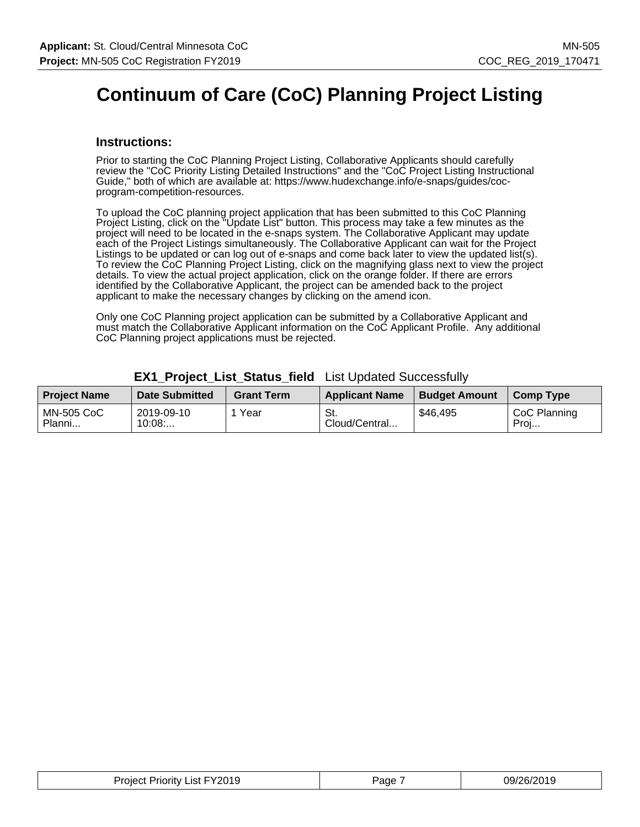# **Continuum of Care (CoC) Planning Project Listing**

#### **Instructions:**

Prior to starting the CoC Planning Project Listing, Collaborative Applicants should carefully review the "CoC Priority Listing Detailed Instructions" and the "CoC Project Listing Instructional Guide," both of which are available at: https://www.hudexchange.info/e-snaps/guides/cocprogram-competition-resources.

To upload the CoC planning project application that has been submitted to this CoC Planning Project Listing, click on the "Update List" button. This process may take a few minutes as the project will need to be located in the e-snaps system. The Collaborative Applicant may update each of the Project Listings simultaneously. The Collaborative Applicant can wait for the Project Listings to be updated or can log out of e-snaps and come back later to view the updated list(s). To review the CoC Planning Project Listing, click on the magnifying glass next to view the project details. To view the actual project application, click on the orange folder. If there are errors identified by the Collaborative Applicant, the project can be amended back to the project applicant to make the necessary changes by clicking on the amend icon.

Only one CoC Planning project application can be submitted by a Collaborative Applicant and must match the Collaborative Applicant information on the CoC Applicant Profile. Any additional CoC Planning project applications must be rejected.

| <b>Project Name</b>         | <b>Date Submitted</b> | <b>Grant Term</b> | <b>Applicant Name</b> | <b>Budget Amount</b> | <b>Comp Type</b>     |
|-----------------------------|-----------------------|-------------------|-----------------------|----------------------|----------------------|
| <b>MN-505 CoC</b><br>Planni | 2019-09-10<br>10:08   | Year              | St.<br>Cloud/Central  | \$46,495             | CoC Planning<br>Proj |

#### **EX1\_Project\_List\_Status\_field** List Updated Successfully

| Project Priority List FY2019 | Page | 09/26/2019 |
|------------------------------|------|------------|
|------------------------------|------|------------|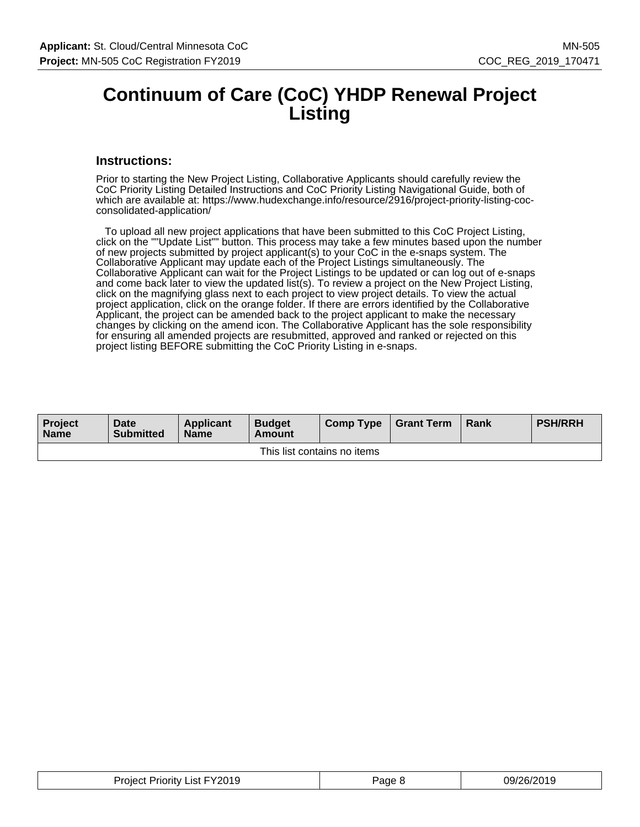### **Continuum of Care (CoC) YHDP Renewal Project Listing**

#### **Instructions:**

Prior to starting the New Project Listing, Collaborative Applicants should carefully review the CoC Priority Listing Detailed Instructions and CoC Priority Listing Navigational Guide, both of which are available at: https://www.hudexchange.info/resource/2916/project-priority-listing-cocconsolidated-application/

 To upload all new project applications that have been submitted to this CoC Project Listing, click on the ""Update List"" button. This process may take a few minutes based upon the number of new projects submitted by project applicant(s) to your CoC in the e-snaps system. The Collaborative Applicant may update each of the Project Listings simultaneously. The Collaborative Applicant can wait for the Project Listings to be updated or can log out of e-snaps and come back later to view the updated list(s). To review a project on the New Project Listing, click on the magnifying glass next to each project to view project details. To view the actual project application, click on the orange folder. If there are errors identified by the Collaborative Applicant, the project can be amended back to the project applicant to make the necessary changes by clicking on the amend icon. The Collaborative Applicant has the sole responsibility for ensuring all amended projects are resubmitted, approved and ranked or rejected on this project listing BEFORE submitting the CoC Priority Listing in e-snaps.

| <b>Project</b><br><b>Name</b> | Date<br><b>Submitted</b> | <b>Applicant</b><br><b>Name</b> | <b>Budget</b><br>Amount | Comp Type | Grant Term | Rank | <b>PSH/RRH</b> |  |
|-------------------------------|--------------------------|---------------------------------|-------------------------|-----------|------------|------|----------------|--|
| This list contains no items   |                          |                                 |                         |           |            |      |                |  |

| Project Priority List FY2019 | Page P | 09/26/2019 |
|------------------------------|--------|------------|
|------------------------------|--------|------------|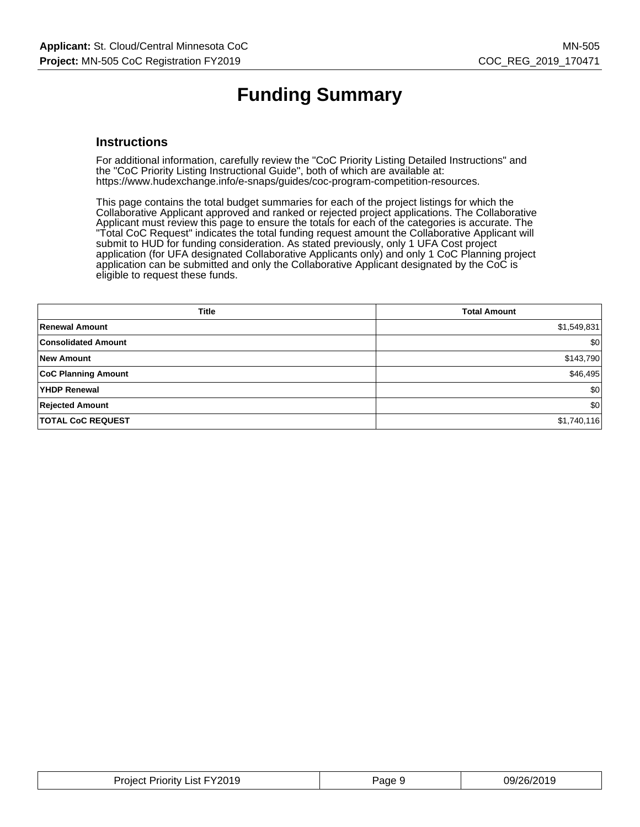# **Funding Summary**

#### **Instructions**

For additional information, carefully review the "CoC Priority Listing Detailed Instructions" and the "CoC Priority Listing Instructional Guide", both of which are available at: https://www.hudexchange.info/e-snaps/guides/coc-program-competition-resources.

This page contains the total budget summaries for each of the project listings for which the Collaborative Applicant approved and ranked or rejected project applications. The Collaborative Applicant must review this page to ensure the totals for each of the categories is accurate. The "Total CoC Request" indicates the total funding request amount the Collaborative Applicant will submit to HUD for funding consideration. As stated previously, only 1 UFA Cost project application (for UFA designated Collaborative Applicants only) and only 1 CoC Planning project application can be submitted and only the Collaborative Applicant designated by the CoC is eligible to request these funds.

| <b>Title</b>               | <b>Total Amount</b> |
|----------------------------|---------------------|
| <b>Renewal Amount</b>      | \$1,549,831         |
| <b>Consolidated Amount</b> | \$0                 |
| <b>New Amount</b>          | \$143,790           |
| <b>CoC Planning Amount</b> | \$46,495            |
| YHDP Renewal               | \$0                 |
| <b>Rejected Amount</b>     | \$0                 |
| <b>TOTAL CoC REQUEST</b>   | \$1,740,116         |

| FY2019<br>Priorit∨<br>∟ıst F<br>Project | 'ane | . מריי<br>, סר<br>1711<br>. |
|-----------------------------------------|------|-----------------------------|
|                                         |      |                             |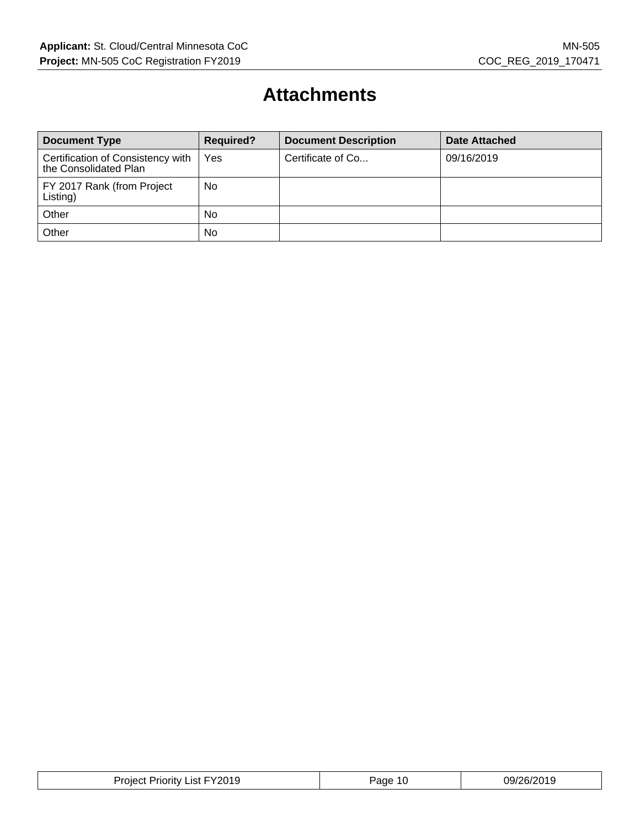### **Attachments**

| <b>Document Type</b>                                       | <b>Required?</b> | <b>Document Description</b> | <b>Date Attached</b> |
|------------------------------------------------------------|------------------|-----------------------------|----------------------|
| Certification of Consistency with<br>the Consolidated Plan | Yes              | Certificate of Co           | 09/16/2019           |
| FY 2017 Rank (from Project<br>Listing)                     | No               |                             |                      |
| Other                                                      | <b>No</b>        |                             |                      |
| Other                                                      | No               |                             |                      |

| <b>Project Priority List FY2019</b> | Page 10 | 09/26/2019 |
|-------------------------------------|---------|------------|
|-------------------------------------|---------|------------|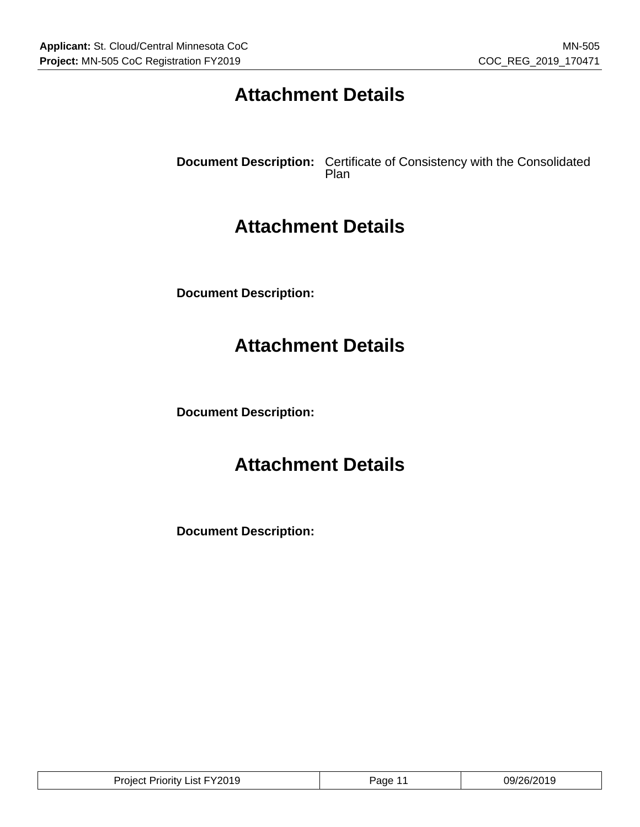## **Attachment Details**

**Document Description:** Certificate of Consistency with the Consolidated Plan

### **Attachment Details**

**Document Description:**

### **Attachment Details**

**Document Description:**

### **Attachment Details**

**Document Description:**

| <b>Project Priority List FY2019</b> | Page | 09/26/2019 |
|-------------------------------------|------|------------|
|-------------------------------------|------|------------|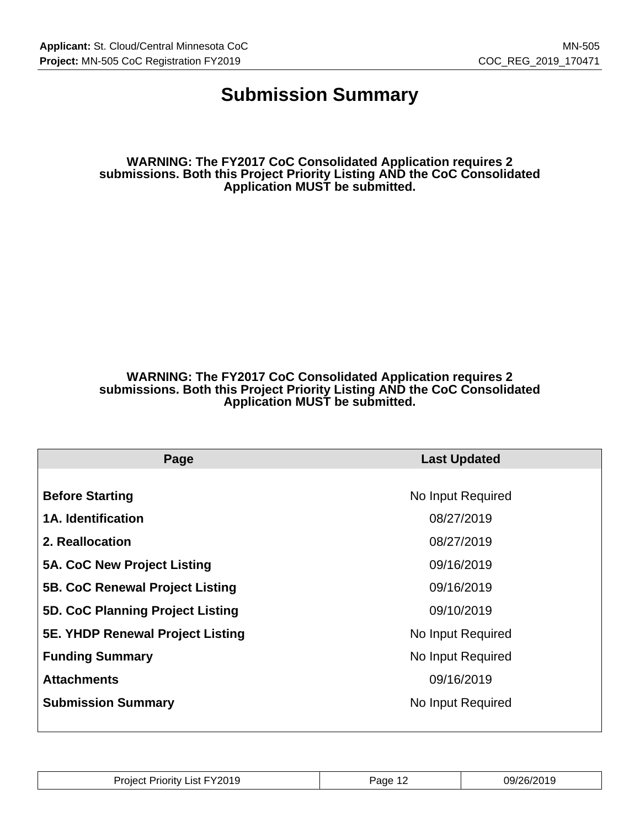### **Submission Summary**

**WARNING: The FY2017 CoC Consolidated Application requires 2 submissions. Both this Project Priority Listing AND the CoC Consolidated Application MUST be submitted.**

#### **WARNING: The FY2017 CoC Consolidated Application requires 2 submissions. Both this Project Priority Listing AND the CoC Consolidated Application MUST be submitted.**

| Page                                    | <b>Last Updated</b> |  |
|-----------------------------------------|---------------------|--|
|                                         |                     |  |
| <b>Before Starting</b>                  | No Input Required   |  |
| <b>1A. Identification</b>               | 08/27/2019          |  |
| 2. Reallocation                         | 08/27/2019          |  |
| 5A. CoC New Project Listing             | 09/16/2019          |  |
| <b>5B. CoC Renewal Project Listing</b>  | 09/16/2019          |  |
| 5D. CoC Planning Project Listing        | 09/10/2019          |  |
| <b>5E. YHDP Renewal Project Listing</b> | No Input Required   |  |
| <b>Funding Summary</b>                  | No Input Required   |  |
| <b>Attachments</b>                      | 09/16/2019          |  |
| <b>Submission Summary</b>               | No Input Required   |  |
|                                         |                     |  |

| 201 C<br>$\mathbf{v}$<br>.ıst<br>.<br>∍⊔د ،<br>пони<br>בו טב | ane<br>- | 79/<br>דרפ<br>26/<br>. . |
|--------------------------------------------------------------|----------|--------------------------|
|                                                              | . .      |                          |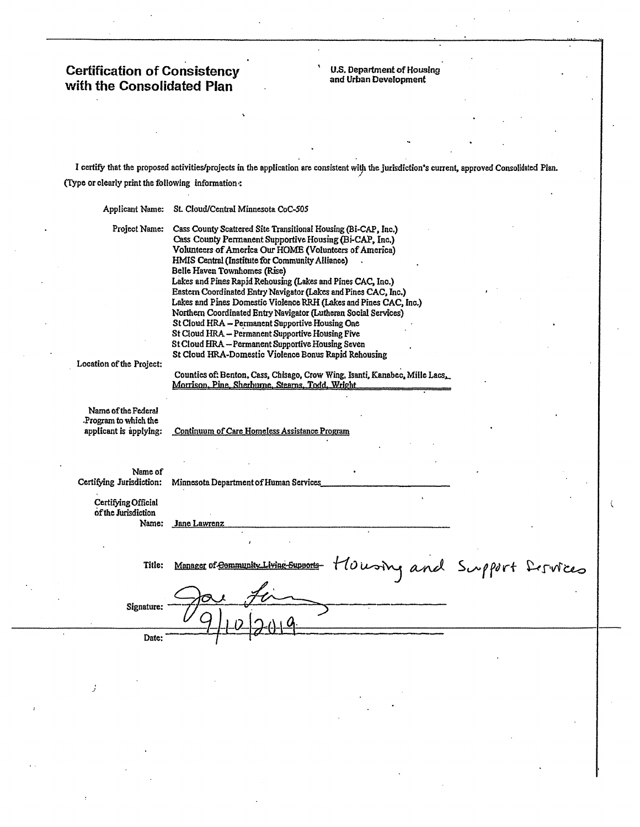# **Certification of Consistency<br>with the Consolidated Plan**

**U.S. Department of Housing**<br>and Urban Development

I certify that the proposed activities/projects in the application are consistent with the jurisdiction's current, approved Consolidated Plan. (Type or clearly print the following information:

| Applicant Name:                                                       | St. Cloud/Central Minnesota CoC-505                                                                                                                                                                                                                                                                                                                                                                                                                                                                                                                                                                                                                                                                          |  |
|-----------------------------------------------------------------------|--------------------------------------------------------------------------------------------------------------------------------------------------------------------------------------------------------------------------------------------------------------------------------------------------------------------------------------------------------------------------------------------------------------------------------------------------------------------------------------------------------------------------------------------------------------------------------------------------------------------------------------------------------------------------------------------------------------|--|
| Project Name:                                                         | Cass County Scattered Site Transitional Housing (Bi-CAP, Inc.)<br>Cass County Permanent Supportive Housing (Bi-CAP, Inc.)<br>Volunteers of America Our HOME (Volunteers of America)<br>HMIS Central (Institute for Community Alliance)<br>Belle Haven Townhomes (Rise)<br>Lakes and Pines Rapid Rehousing (Lakes and Pines CAC, Inc.)<br>Eastern Coordinated Entry Navigator (Lakes and Pines CAC, Inc.)<br>Lakes and Pines Domestic Violence RRH (Lakes and Pines CAC, Inc.)<br>Northern Coordinated Entry Navigator (Lutheran Social Services)<br>St Cloud HRA - Permanent Supportive Housing One<br>St Cloud HRA - Permanent Supportive Housing Five<br>St Cloud HRA - Permanent Supportive Housing Seven |  |
| Location of the Project:                                              | St Cloud HRA-Domestic Violence Bonus Rapid Rehousing<br>Counties of: Benton, Cass, Chisago, Crow Wing, Isanti, Kanabec, Mille Lacs,<br>Morrison, Pine, Sherhurne, Stearns, Todd, Wright                                                                                                                                                                                                                                                                                                                                                                                                                                                                                                                      |  |
| Name of the Federal<br>Program to which the<br>applicant is applying: | Continuum of Care Homeless Assistance Program                                                                                                                                                                                                                                                                                                                                                                                                                                                                                                                                                                                                                                                                |  |
|                                                                       |                                                                                                                                                                                                                                                                                                                                                                                                                                                                                                                                                                                                                                                                                                              |  |
| Name of<br>Certifying Jurisdiction:                                   | Minnesota Department of Human Services                                                                                                                                                                                                                                                                                                                                                                                                                                                                                                                                                                                                                                                                       |  |
| Certifying Official<br>of the Jurisdiction<br>Name:                   | Jane Lawrenz                                                                                                                                                                                                                                                                                                                                                                                                                                                                                                                                                                                                                                                                                                 |  |
| Title:                                                                | Housing and Support Dervices<br>Manager of Community Living                                                                                                                                                                                                                                                                                                                                                                                                                                                                                                                                                                                                                                                  |  |
| Signature:                                                            |                                                                                                                                                                                                                                                                                                                                                                                                                                                                                                                                                                                                                                                                                                              |  |
| Date:                                                                 |                                                                                                                                                                                                                                                                                                                                                                                                                                                                                                                                                                                                                                                                                                              |  |

í